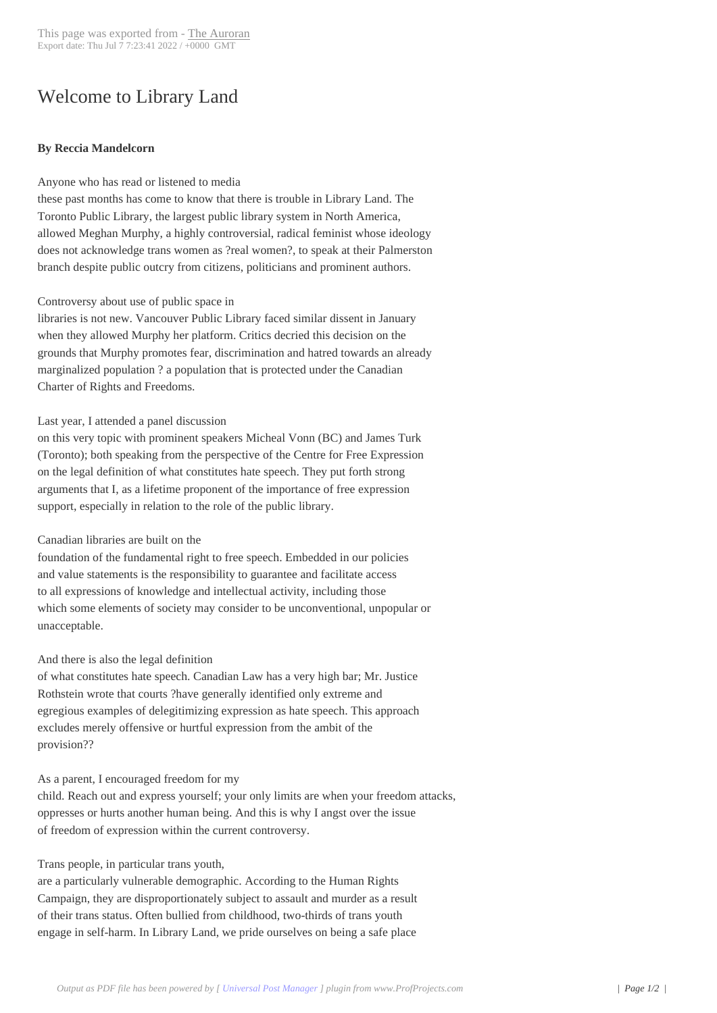# Welcome to Librar[y Land](http://www.newspapers-online.com/auroran/?p=25272)

#### **By Reccia Mandelcorn**

#### Anyone who has read or listened to media

these past months has come to know that there is trouble in Library Land. The Toronto Public Library, the largest public library system in North America, allowed Meghan Murphy, a highly controversial, radical feminist whose ideology does not acknowledge trans women as ?real women?, to speak at their Palmerston branch despite public outcry from citizens, politicians and prominent authors.

#### Controversy about use of public space in

libraries is not new. Vancouver Public Library faced similar dissent in January when they allowed Murphy her platform. Critics decried this decision on the grounds that Murphy promotes fear, discrimination and hatred towards an already marginalized population ? a population that is protected under the Canadian Charter of Rights and Freedoms.

# Last year, I attended a panel discussion

on this very topic with prominent speakers Micheal Vonn (BC) and James Turk (Toronto); both speaking from the perspective of the Centre for Free Expression on the legal definition of what constitutes hate speech. They put forth strong arguments that I, as a lifetime proponent of the importance of free expression support, especially in relation to the role of the public library.

#### Canadian libraries are built on the

foundation of the fundamental right to free speech. Embedded in our policies and value statements is the responsibility to guarantee and facilitate access to all expressions of knowledge and intellectual activity, including those which some elements of society may consider to be unconventional, unpopular or unacceptable.

# And there is also the legal definition

of what constitutes hate speech. Canadian Law has a very high bar; Mr. Justice Rothstein wrote that courts ?have generally identified only extreme and egregious examples of delegitimizing expression as hate speech. This approach excludes merely offensive or hurtful expression from the ambit of the provision??

#### As a parent, I encouraged freedom for my

child. Reach out and express yourself; your only limits are when your freedom attacks, oppresses or hurts another human being. And this is why I angst over the issue of freedom of expression within the current controversy.

# Trans people, in particular trans youth,

are a particularly vulnerable demographic. According to the Human Rights Campaign, they are disproportionately subject to assault and murder as a result of their trans status. Often bullied from childhood, two-thirds of trans youth engage in self-harm. In Library Land, we pride ourselves on being a safe place